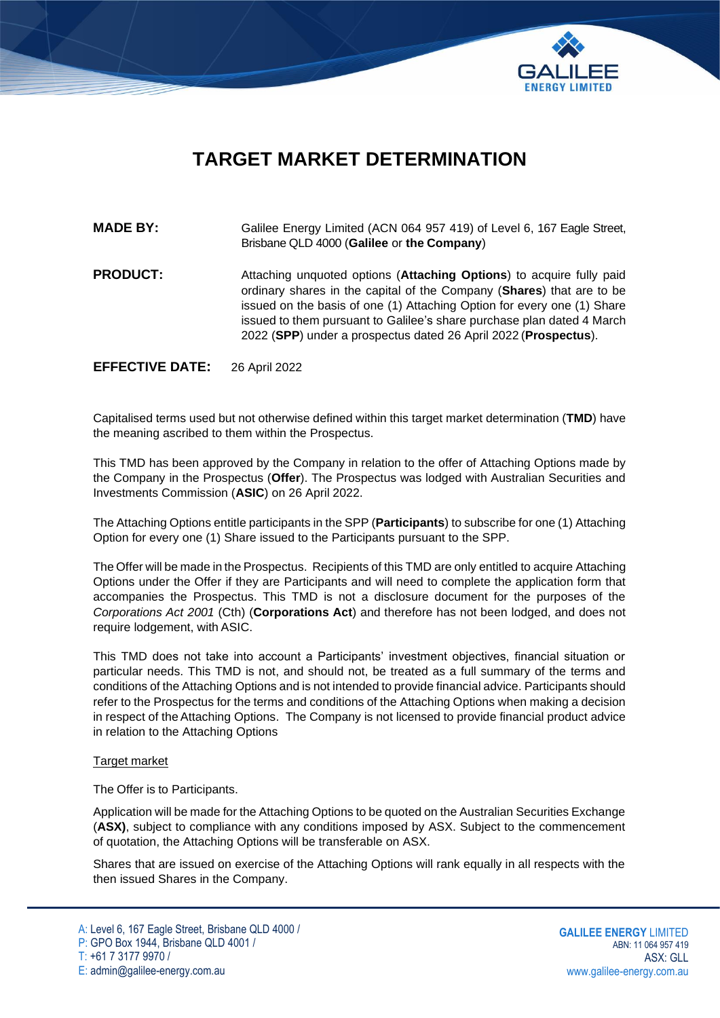

# **TARGET MARKET DETERMINATION**

**MADE BY:** Galilee Energy Limited (ACN 064 957 419) of Level 6, 167 Eagle Street, Brisbane QLD 4000 (**Galilee** or **the Company**) **PRODUCT:** Attaching unquoted options (**Attaching Options**) to acquire fully paid

ordinary shares in the capital of the Company (**Shares**) that are to be issued on the basis of one (1) Attaching Option for every one (1) Share issued to them pursuant to Galilee's share purchase plan dated 4 March 2022 (**SPP**) under a prospectus dated 26 April 2022 (**Prospectus**).

**EFFECTIVE DATE:** 26 April 2022

Capitalised terms used but not otherwise defined within this target market determination (**TMD**) have the meaning ascribed to them within the Prospectus.

This TMD has been approved by the Company in relation to the offer of Attaching Options made by the Company in the Prospectus (**Offer**). The Prospectus was lodged with Australian Securities and Investments Commission (**ASIC**) on 26 April 2022.

The Attaching Options entitle participants in the SPP (**Participants**) to subscribe for one (1) Attaching Option for every one (1) Share issued to the Participants pursuant to the SPP.

The Offer will be made in the Prospectus. Recipients of this TMD are only entitled to acquire Attaching Options under the Offer if they are Participants and will need to complete the application form that accompanies the Prospectus. This TMD is not a disclosure document for the purposes of the *Corporations Act 2001* (Cth) (**Corporations Act**) and therefore has not been lodged, and does not require lodgement, with ASIC.

This TMD does not take into account a Participants' investment objectives, financial situation or particular needs. This TMD is not, and should not, be treated as a full summary of the terms and conditions of the Attaching Options and is not intended to provide financial advice. Participants should refer to the Prospectus for the terms and conditions of the Attaching Options when making a decision in respect of the Attaching Options. The Company is not licensed to provide financial product advice in relation to the Attaching Options

## **Target market**

The Offer is to Participants.

Application will be made for the Attaching Options to be quoted on the Australian Securities Exchange (**ASX)**, subject to compliance with any conditions imposed by ASX. Subject to the commencement of quotation, the Attaching Options will be transferable on ASX.

Shares that are issued on exercise of the Attaching Options will rank equally in all respects with the then issued Shares in the Company.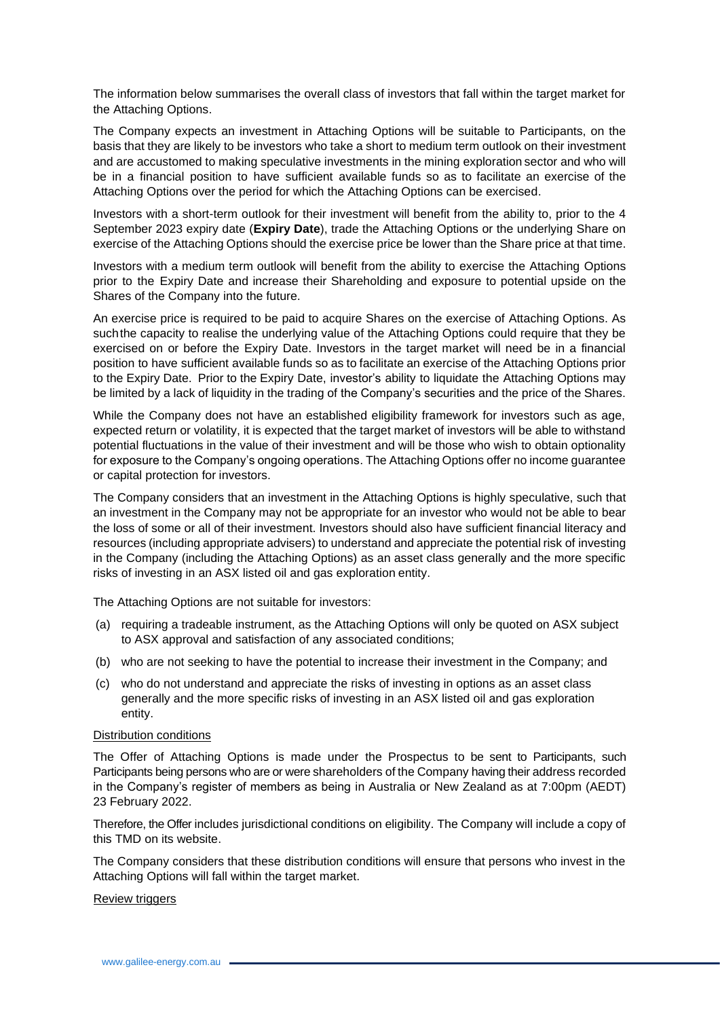The information below summarises the overall class of investors that fall within the target market for the Attaching Options.

The Company expects an investment in Attaching Options will be suitable to Participants, on the basis that they are likely to be investors who take a short to medium term outlook on their investment and are accustomed to making speculative investments in the mining exploration sector and who will be in a financial position to have sufficient available funds so as to facilitate an exercise of the Attaching Options over the period for which the Attaching Options can be exercised.

Investors with a short-term outlook for their investment will benefit from the ability to, prior to the 4 September 2023 expiry date (**Expiry Date**), trade the Attaching Options or the underlying Share on exercise of the Attaching Options should the exercise price be lower than the Share price at that time.

Investors with a medium term outlook will benefit from the ability to exercise the Attaching Options prior to the Expiry Date and increase their Shareholding and exposure to potential upside on the Shares of the Company into the future.

An exercise price is required to be paid to acquire Shares on the exercise of Attaching Options. As suchthe capacity to realise the underlying value of the Attaching Options could require that they be exercised on or before the Expiry Date. Investors in the target market will need be in a financial position to have sufficient available funds so as to facilitate an exercise of the Attaching Options prior to the Expiry Date. Prior to the Expiry Date, investor's ability to liquidate the Attaching Options may be limited by a lack of liquidity in the trading of the Company's securities and the price of the Shares.

While the Company does not have an established eligibility framework for investors such as age, expected return or volatility, it is expected that the target market of investors will be able to withstand potential fluctuations in the value of their investment and will be those who wish to obtain optionality for exposure to the Company's ongoing operations. The Attaching Options offer no income guarantee or capital protection for investors.

The Company considers that an investment in the Attaching Options is highly speculative, such that an investment in the Company may not be appropriate for an investor who would not be able to bear the loss of some or all of their investment. Investors should also have sufficient financial literacy and resources (including appropriate advisers) to understand and appreciate the potential risk of investing in the Company (including the Attaching Options) as an asset class generally and the more specific risks of investing in an ASX listed oil and gas exploration entity.

The Attaching Options are not suitable for investors:

- (a) requiring a tradeable instrument, as the Attaching Options will only be quoted on ASX subject to ASX approval and satisfaction of any associated conditions;
- (b) who are not seeking to have the potential to increase their investment in the Company; and
- (c) who do not understand and appreciate the risks of investing in options as an asset class generally and the more specific risks of investing in an ASX listed oil and gas exploration entity.

### Distribution conditions

The Offer of Attaching Options is made under the Prospectus to be sent to Participants, such Participants being persons who are or were shareholders of the Company having their address recorded in the Company's register of members as being in Australia or New Zealand as at 7:00pm (AEDT) 23 February 2022.

Therefore, the Offer includes jurisdictional conditions on eligibility. The Company will include a copy of this TMD on its website.

The Company considers that these distribution conditions will ensure that persons who invest in the Attaching Options will fall within the target market.

### Review triggers